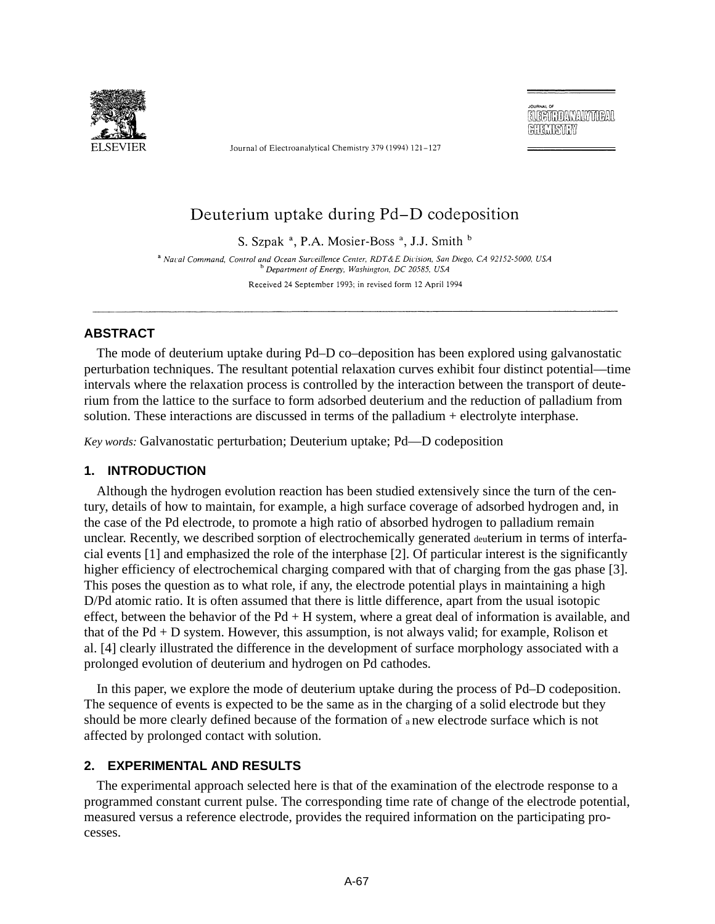

Journal of Electroanalytical Chemistry 379 (1994) 121-127

**ELECTROANALYMEAL** CHIANSIN

# Deuterium uptake during Pd-D codeposition

S. Szpak<sup>a</sup>, P.A. Mosier-Boss<sup>a</sup>, J.J. Smith<sup>b</sup>

<sup>a</sup> Naval Command, Control and Ocean Surveillence Center, RDT&E Division, San Diego, CA 92152-5000, USA Department of Energy, Washington, DC 20585, USA Received 24 September 1993; in revised form 12 April 1994

# **ABSTRACT**

The mode of deuterium uptake during Pd–D co–deposition has been explored using galvanostatic perturbation techniques. The resultant potential relaxation curves exhibit four distinct potential—time intervals where the relaxation process is controlled by the interaction between the transport of deuterium from the lattice to the surface to form adsorbed deuterium and the reduction of palladium from solution. These interactions are discussed in terms of the palladium + electrolyte interphase.

*Key words:* Galvanostatic perturbation; Deuterium uptake; Pd—D codeposition

# **1. INTRODUCTION**

Although the hydrogen evolution reaction has been studied extensively since the turn of the century, details of how to maintain, for example, a high surface coverage of adsorbed hydrogen and, in the case of the Pd electrode, to promote a high ratio of absorbed hydrogen to palladium remain unclear. Recently, we described sorption of electrochemically generated deuterium in terms of interfacial events [1] and emphasized the role of the interphase [2]. Of particular interest is the significantly higher efficiency of electrochemical charging compared with that of charging from the gas phase [3]. This poses the question as to what role, if any, the electrode potential plays in maintaining a high D/Pd atomic ratio. It is often assumed that there is little difference, apart from the usual isotopic effect, between the behavior of the  $Pd + H$  system, where a great deal of information is available, and that of the Pd + D system. However, this assumption, is not always valid; for example, Rolison et al. [4] clearly illustrated the difference in the development of surface morphology associated with a prolonged evolution of deuterium and hydrogen on Pd cathodes.

In this paper, we explore the mode of deuterium uptake during the process of Pd–D codeposition. The sequence of events is expected to be the same as in the charging of a solid electrode but they should be more clearly defined because of the formation of a new electrode surface which is not affected by prolonged contact with solution.

# **2. EXPERIMENTAL AND RESULTS**

The experimental approach selected here is that of the examination of the electrode response to a programmed constant current pulse. The corresponding time rate of change of the electrode potential, measured versus a reference electrode, provides the required information on the participating processes.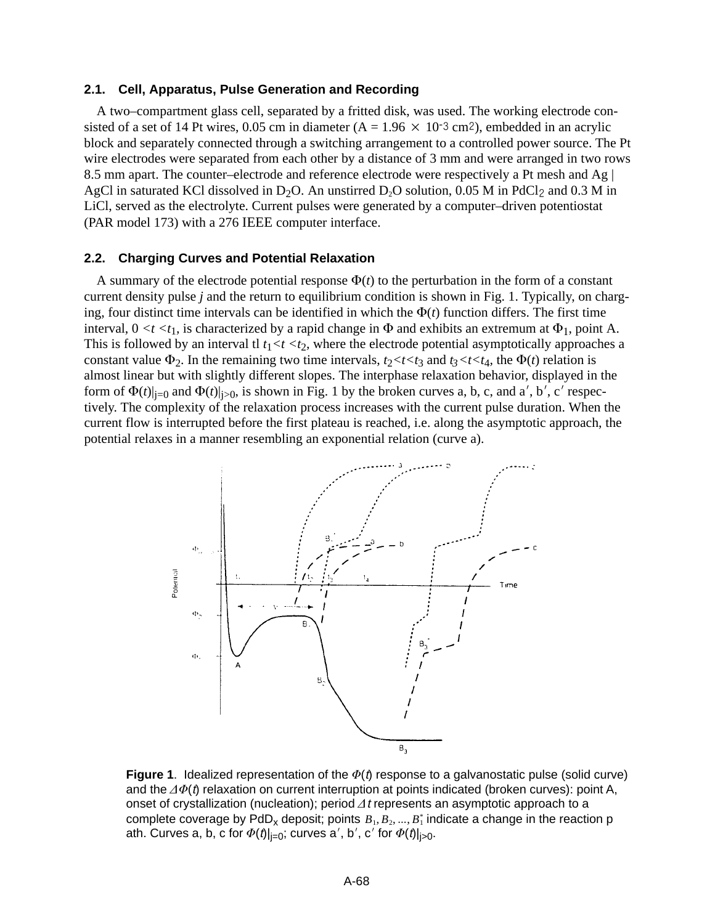### **2.1. Cell, Apparatus, Pulse Generation and Recording**

A two–compartment glass cell, separated by a fritted disk, was used. The working electrode consisted of a set of 14 Pt wires,  $0.05$  cm in diameter  $(A = 1.96 \times 10^{-3} \text{ cm}^2)$ , embedded in an acrylic block and separately connected through a switching arrangement to a controlled power source. The Pt wire electrodes were separated from each other by a distance of 3 mm and were arranged in two rows 8.5 mm apart. The counter–electrode and reference electrode were respectively a Pt mesh and Ag | AgCl in saturated KCl dissolved in D<sub>2</sub>O. An unstirred D<sub>2</sub>O solution, 0.05 M in PdCl<sub>2</sub> and 0.3 M in LiCl, served as the electrolyte. Current pulses were generated by a computer–driven potentiostat (PAR model 173) with a 276 IEEE computer interface.

#### **2.2. Charging Curves and Potential Relaxation**

A summary of the electrode potential response  $\Phi(t)$  to the perturbation in the form of a constant current density pulse *j* and the return to equilibrium condition is shown in Fig. 1. Typically, on charging, four distinct time intervals can be identified in which the  $\Phi(t)$  function differs. The first time interval,  $0 \lt t \lt t_1$ , is characterized by a rapid change in  $\Phi$  and exhibits an extremum at  $\Phi_1$ , point A. This is followed by an interval tl  $t_1 < t < t_2$ , where the electrode potential asymptotically approaches a constant value  $\Phi_2$ . In the remaining two time intervals,  $t_2 < t < t_3$  and  $t_3 < t < t_4$ , the  $\Phi(t)$  relation is almost linear but with slightly different slopes. The interphase relaxation behavior, displayed in the form of  $\Phi(t)|_{i=0}$  and  $\Phi(t)|_{i>0}$ , is shown in Fig. 1 by the broken curves a, b, c, and a', b', c' respectively. The complexity of the relaxation process increases with the current pulse duration. When the current flow is interrupted before the first plateau is reached, i.e. along the asymptotic approach, the potential relaxes in a manner resembling an exponential relation (curve a).



**Figure 1**. Idealized representation of the  $\Phi(t)$  response to a galvanostatic pulse (solid curve) and the  $\varDelta\varPhi(t)$  relaxation on current interruption at points indicated (broken curves): point A, onset of crystallization (nucleation); period  $\Delta t$  represents an asymptotic approach to a complete coverage by  $\mathsf{PdD}_\mathsf{x}$  deposit; points  $B_1, B_2, ..., B_1^*$  indicate a change in the reaction p ath. Curves a, b, c for  $\Phi(t)|_{j=0}$ ; curves a', b', c' for  $\Phi(t)|_{j>0}$ .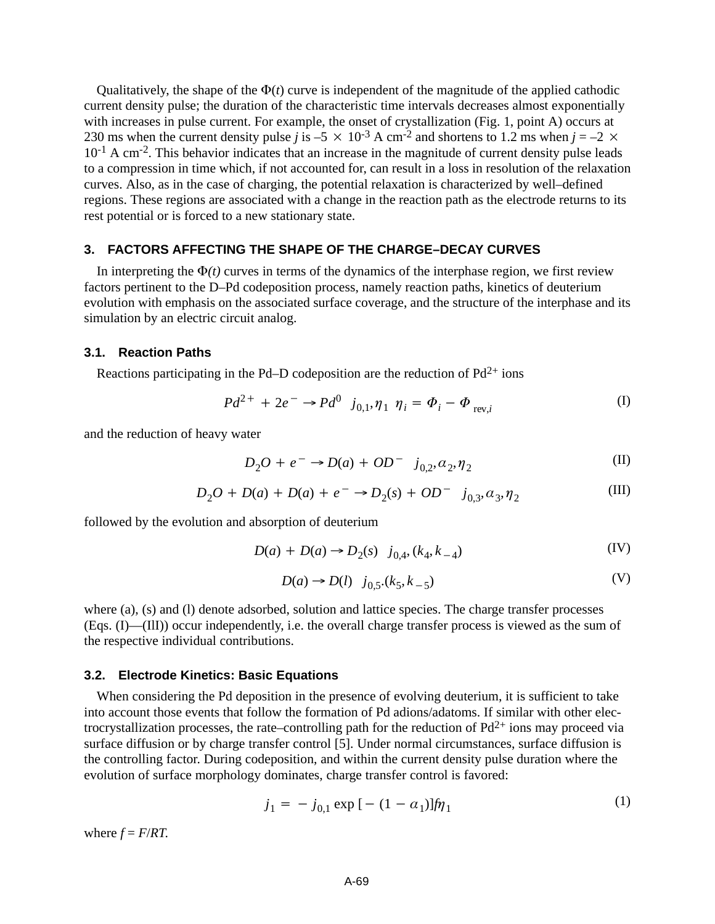Qualitatively, the shape of the  $\Phi(t)$  curve is independent of the magnitude of the applied cathodic current density pulse; the duration of the characteristic time intervals decreases almost exponentially with increases in pulse current. For example, the onset of crystallization (Fig. 1, point A) occurs at 230 ms when the current density pulse *j* is –5  $\times$  10<sup>-3</sup> A cm<sup>-2</sup> and shortens to 1.2 ms when *j* = –2  $\times$  $10^{-1}$  A cm<sup>-2</sup>. This behavior indicates that an increase in the magnitude of current density pulse leads to a compression in time which, if not accounted for, can result in a loss in resolution of the relaxation curves. Also, as in the case of charging, the potential relaxation is characterized by well–defined regions. These regions are associated with a change in the reaction path as the electrode returns to its rest potential or is forced to a new stationary state.

# **3. FACTORS AFFECTING THE SHAPE OF THE CHARGE–DECAY CURVES**

In interpreting the  $\Phi(t)$  curves in terms of the dynamics of the interphase region, we first review factors pertinent to the D–Pd codeposition process, namely reaction paths, kinetics of deuterium evolution with emphasis on the associated surface coverage, and the structure of the interphase and its simulation by an electric circuit analog.

## **3.1. Reaction Paths**

Reactions participating in the Pd–D codeposition are the reduction of  $Pd^{2+}$  ions

$$
Pd^{2+} + 2e^{-} \to Pd^{0} \ j_{0,1}, \eta_1 \eta_i = \Phi_i - \Phi_{\text{rev},i}
$$
 (I)

and the reduction of heavy water

$$
D_2O + e^- \to D(a) + OD^- \quad j_{0,2}, a_2, \eta_2 \tag{II}
$$

$$
D_2O + D(a) + D(a) + e^- \rightarrow D_2(s) + OD^- \quad j_{0,3}, a_3, \eta_2
$$
 (III)

followed by the evolution and absorption of deuterium

$$
D(a) + D(a) \to D_2(s) \quad j_{0,4}, (k_4, k_{-4})
$$
 (IV)

$$
D(a) \to D(l) \quad j_{0,5}(k_5, k_{-5})
$$
 (V)

where (a), (s) and (l) denote adsorbed, solution and lattice species. The charge transfer processes (Eqs. (I)—(IlI)) occur independently, i.e. the overall charge transfer process is viewed as the sum of the respective individual contributions.

### **3.2. Electrode Kinetics: Basic Equations**

When considering the Pd deposition in the presence of evolving deuterium, it is sufficient to take into account those events that follow the formation of Pd adions/adatoms. If similar with other electrocrystallization processes, the rate–controlling path for the reduction of  $Pd^{2+}$  ions may proceed via surface diffusion or by charge transfer control [5]. Under normal circumstances, surface diffusion is the controlling factor. During codeposition, and within the current density pulse duration where the evolution of surface morphology dominates, charge transfer control is favored:

$$
j_1 = -j_{0,1} \exp\left[ - (1 - a_1) J \hat{\eta}_1 \right] \tag{1}
$$

where  $f = F/RT$ .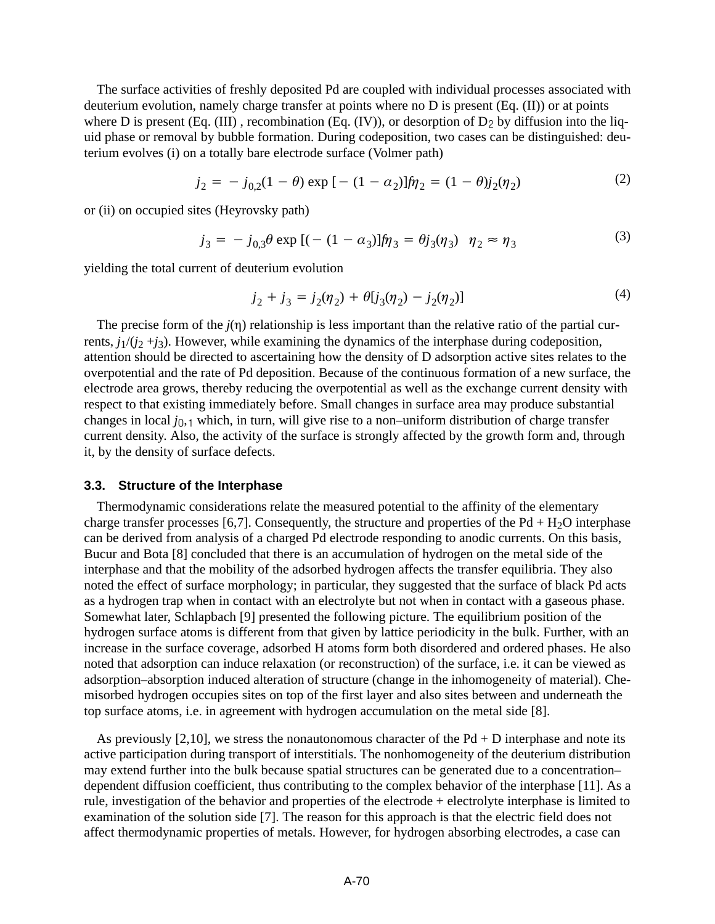The surface activities of freshly deposited Pd are coupled with individual processes associated with deuterium evolution, namely charge transfer at points where no D is present (Eq. (II)) or at points where D is present (Eq. (III), recombination (Eq. (IV)), or desorption of  $D_2$  by diffusion into the liquid phase or removal by bubble formation. During codeposition, two cases can be distinguished: deuterium evolves (i) on a totally bare electrode surface (Volmer path)

$$
j_2 = -j_{0,2}(1-\theta) \exp\left[-(1-\alpha_2)\right]j\eta_2 = (1-\theta)j_2(\eta_2)
$$
 (2)

or (ii) on occupied sites (Heyrovsky path)

$$
j_3 = -j_{0,3}\theta \exp[(- (1 - \alpha_3)]\hat{\eta}_3 = \theta j_3(\eta_3) \quad \eta_2 \approx \eta_3 \tag{3}
$$

yielding the total current of deuterium evolution

$$
j_2 + j_3 = j_2(\eta_2) + \theta[j_3(\eta_2) - j_2(\eta_2)]
$$
\n(4)

The precise form of the  $j(\eta)$  relationship is less important than the relative ratio of the partial currents,  $j_1/(j_2 + j_3)$ . However, while examining the dynamics of the interphase during codeposition, attention should be directed to ascertaining how the density of D adsorption active sites relates to the overpotential and the rate of Pd deposition. Because of the continuous formation of a new surface, the electrode area grows, thereby reducing the overpotential as well as the exchange current density with respect to that existing immediately before. Small changes in surface area may produce substantial changes in local *j*<sub>0,1</sub> which, in turn, will give rise to a non–uniform distribution of charge transfer current density. Also, the activity of the surface is strongly affected by the growth form and, through it, by the density of surface defects.

#### **3.3. Structure of the Interphase**

Thermodynamic considerations relate the measured potential to the affinity of the elementary charge transfer processes [6,7]. Consequently, the structure and properties of the Pd + H<sub>2</sub>O interphase can be derived from analysis of a charged Pd electrode responding to anodic currents. On this basis, Bucur and Bota [8] concluded that there is an accumulation of hydrogen on the metal side of the interphase and that the mobility of the adsorbed hydrogen affects the transfer equilibria. They also noted the effect of surface morphology; in particular, they suggested that the surface of black Pd acts as a hydrogen trap when in contact with an electrolyte but not when in contact with a gaseous phase. Somewhat later, Schlapbach [9] presented the following picture. The equilibrium position of the hydrogen surface atoms is different from that given by lattice periodicity in the bulk. Further, with an increase in the surface coverage, adsorbed H atoms form both disordered and ordered phases. He also noted that adsorption can induce relaxation (or reconstruction) of the surface, i.e. it can be viewed as adsorption–absorption induced alteration of structure (change in the inhomogeneity of material). Chemisorbed hydrogen occupies sites on top of the first layer and also sites between and underneath the top surface atoms, i.e. in agreement with hydrogen accumulation on the metal side [8].

As previously [2,10], we stress the nonautonomous character of the Pd + D interphase and note its active participation during transport of interstitials. The nonhomogeneity of the deuterium distribution may extend further into the bulk because spatial structures can be generated due to a concentration– dependent diffusion coefficient, thus contributing to the complex behavior of the interphase [11]. As a rule, investigation of the behavior and properties of the electrode + electrolyte interphase is limited to examination of the solution side [7]. The reason for this approach is that the electric field does not affect thermodynamic properties of metals. However, for hydrogen absorbing electrodes, a case can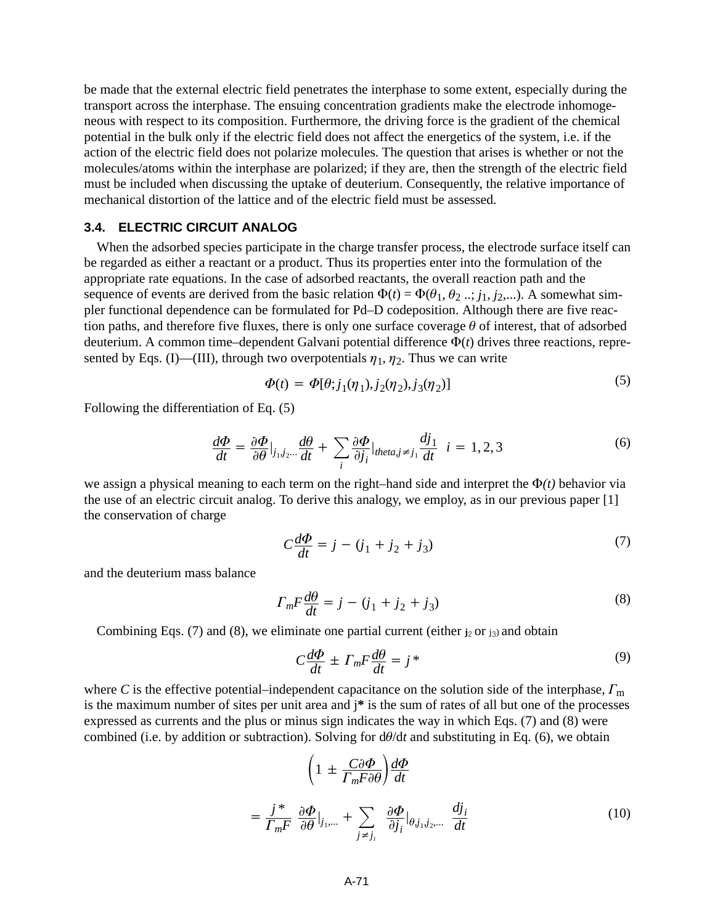be made that the external electric field penetrates the interphase to some extent, especially during the transport across the interphase. The ensuing concentration gradients make the electrode inhomogeneous with respect to its composition. Furthermore, the driving force is the gradient of the chemical potential in the bulk only if the electric field does not affect the energetics of the system, i.e. if the action of the electric field does not polarize molecules. The question that arises is whether or not the molecules/atoms within the interphase are polarized; if they are, then the strength of the electric field must be included when discussing the uptake of deuterium. Consequently, the relative importance of mechanical distortion of the lattice and of the electric field must be assessed.

# **3.4. ELECTRIC CIRCUIT ANALOG**

When the adsorbed species participate in the charge transfer process, the electrode surface itself can be regarded as either a reactant or a product. Thus its properties enter into the formulation of the appropriate rate equations. In the case of adsorbed reactants, the overall reaction path and the sequence of events are derived from the basic relation  $\Phi(t) = \Phi(\theta_1, \theta_2, \dots, j_1, j_2, \dots)$ . A somewhat simpler functional dependence can be formulated for Pd–D codeposition. Although there are five reaction paths, and therefore five fluxes, there is only one surface coverage  $\theta$  of interest, that of adsorbed deuterium. A common time–dependent Galvani potential difference  $\Phi(t)$  drives three reactions, represented by Eqs. (I)—(III), through two overpotentials  $\eta_1, \eta_2$ . Thus we can write

$$
\Phi(t) = \Phi[\theta; j_1(\eta_1), j_2(\eta_2), j_3(\eta_2)] \tag{5}
$$

Following the differentiation of Eq. (5)

$$
\frac{d\Phi}{dt} = \frac{\partial \Phi}{\partial \theta}\big|_{j_1, j_2, \dots} \frac{d\theta}{dt} + \sum_{i} \frac{\partial \Phi}{\partial j_i}\big|_{\text{thetaaj} \neq j_1} \frac{dj_1}{dt} \quad i = 1, 2, 3 \tag{6}
$$

we assign a physical meaning to each term on the right–hand side and interpret the  $\Phi(t)$  behavior via the use of an electric circuit analog. To derive this analogy, we employ, as in our previous paper [1] the conservation of charge

$$
C\frac{d\Phi}{dt} = j - (j_1 + j_2 + j_3)
$$
 (7)

and the deuterium mass balance

$$
\Gamma_m F \frac{d\theta}{dt} = j - (j_1 + j_2 + j_3) \tag{8}
$$

Combining Eqs.  $(7)$  and  $(8)$ , we eliminate one partial current (either  $j_2$  or  $j_3$ ) and obtain

$$
C\frac{d\Phi}{dt} \pm \Gamma_m F \frac{d\theta}{dt} = j^*
$$
\n(9)

where C is the effective potential–independent capacitance on the solution side of the interphase,  $\Gamma_{\rm m}$ is the maximum number of sites per unit area and j**\*** is the sum of rates of all but one of the processes expressed as currents and the plus or minus sign indicates the way in which Eqs. (7) and (8) were combined (i.e. by addition or subtraction). Solving for  $d\theta/dt$  and substituting in Eq. (6), we obtain

$$
\left(1 \pm \frac{C\partial \Phi}{\Gamma_m F \partial \theta}\right) \frac{d\Phi}{dt}
$$

$$
= \frac{j^*}{\Gamma_m F} \frac{\partial \Phi}{\partial \theta} \Big|_{j_1, \dots} + \sum_{j \neq j_i} \frac{\partial \Phi}{\partial j_i} \Big|_{\theta, j_1, j_2, \dots} \frac{dj_i}{dt}
$$
(10)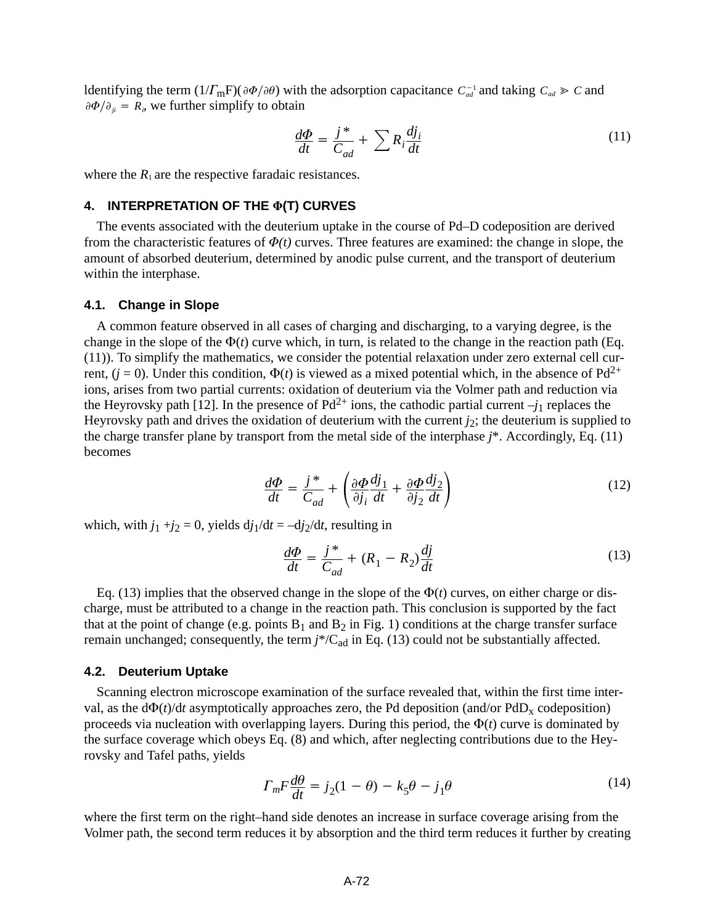ldentifying the term  $(1/\Gamma_m F)(\partial \Phi/\partial \theta)$  with the adsorption capacitance  $C_{ad}^{-1}$  and taking  $C_{ad} \gg C$  and  $\partial \Phi / \partial_{ji} = R_i$ , we further simplify to obtain

$$
\frac{d\Phi}{dt} = \frac{j^*}{C_{ad}} + \sum R_i \frac{dj_i}{dt}
$$
\n(11)

where the  $R_1$  are the respective faradaic resistances.

# **4. INTERPRETATION OF THE (T) CURVES**

The events associated with the deuterium uptake in the course of Pd–D codeposition are derived from the characteristic features of  $\Phi(t)$  curves. Three features are examined: the change in slope, the amount of absorbed deuterium, determined by anodic pulse current, and the transport of deuterium within the interphase.

#### **4.1. Change in Slope**

A common feature observed in all cases of charging and discharging, to a varying degree, is the change in the slope of the  $\Phi(t)$  curve which, in turn, is related to the change in the reaction path (Eq. (11)). To simplify the mathematics, we consider the potential relaxation under zero external cell current,  $(j = 0)$ . Under this condition,  $\Phi(t)$  is viewed as a mixed potential which, in the absence of Pd<sup>2+</sup> ions, arises from two partial currents: oxidation of deuterium via the Volmer path and reduction via the Heyrovsky path [12]. In the presence of  $Pd^{2+}$  ions, the cathodic partial current  $-j_1$  replaces the Heyrovsky path and drives the oxidation of deuterium with the current  $j_2$ ; the deuterium is supplied to the charge transfer plane by transport from the metal side of the interphase *j*\*. Accordingly, Eq. (11) becomes

$$
\frac{d\Phi}{dt} = \frac{j^*}{C_{ad}} + \left(\frac{\partial \Phi}{\partial j_i}\frac{dj_1}{dt} + \frac{\partial \Phi}{\partial j_2}\frac{dj_2}{dt}\right)
$$
(12)

which, with  $j_1 + j_2 = 0$ , yields  $dj_1/dt = -dj_2/dt$ , resulting in

$$
\frac{d\Phi}{dt} = \frac{j^*}{C_{ad}} + (R_1 - R_2) \frac{dj}{dt}
$$
\n(13)

Eq. (13) implies that the observed change in the slope of the  $\Phi(t)$  curves, on either charge or discharge, must be attributed to a change in the reaction path. This conclusion is supported by the fact that at the point of change (e.g. points  $B_1$  and  $B_2$  in Fig. 1) conditions at the charge transfer surface remain unchanged; consequently, the term  $j^*/C_{ad}$  in Eq. (13) could not be substantially affected.

#### **4.2. Deuterium Uptake**

Scanning electron microscope examination of the surface revealed that, within the first time interval, as the  $d\Phi(t)/dt$  asymptotically approaches zero, the Pd deposition (and/or PdD<sub>x</sub> codeposition) proceeds via nucleation with overlapping layers. During this period, the  $\Phi(t)$  curve is dominated by the surface coverage which obeys Eq. (8) and which, after neglecting contributions due to the Heyrovsky and Tafel paths, yields

$$
\Gamma_m F \frac{d\theta}{dt} = j_2 (1 - \theta) - k_5 \theta - j_1 \theta \tag{14}
$$

where the first term on the right–hand side denotes an increase in surface coverage arising from the Volmer path, the second term reduces it by absorption and the third term reduces it further by creating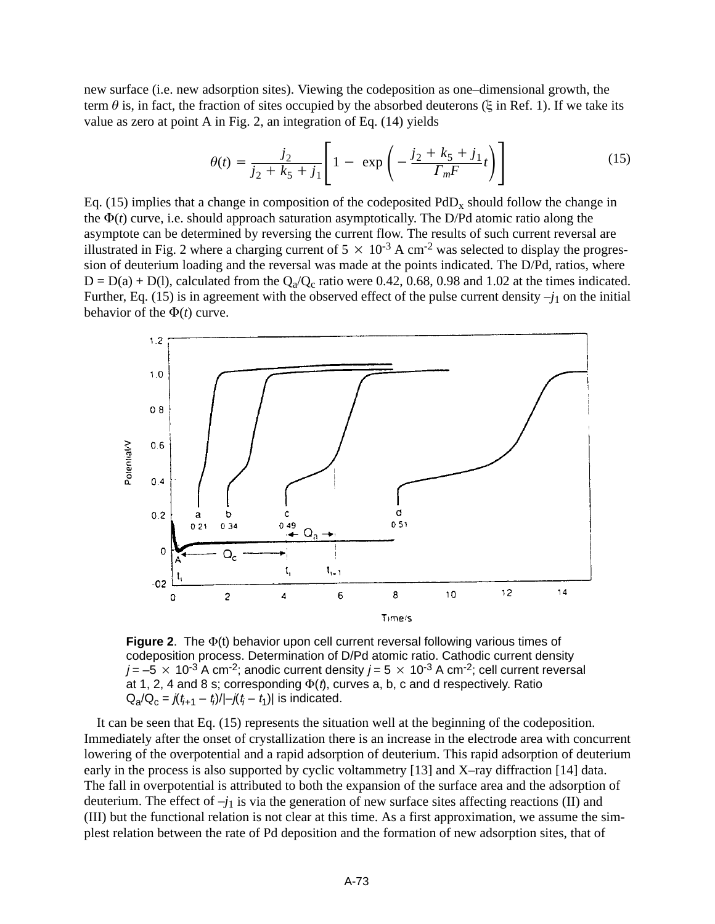new surface (i.e. new adsorption sites). Viewing the codeposition as one–dimensional growth, the term  $\theta$  is, in fact, the fraction of sites occupied by the absorbed deuterons ( $\xi$  in Ref. 1). If we take its value as zero at point A in Fig. 2, an integration of Eq. (14) yields

$$
\theta(t) = \frac{j_2}{j_2 + k_5 + j_1} \left[ 1 - \exp\left( -\frac{j_2 + k_5 + j_1}{\Gamma_m F} t \right) \right]
$$
(15)

Eq. (15) implies that a change in composition of the codeposited  $PdD<sub>x</sub>$  should follow the change in the  $\Phi(t)$  curve, i.e. should approach saturation asymptotically. The D/Pd atomic ratio along the asymptote can be determined by reversing the current flow. The results of such current reversal are illustrated in Fig. 2 where a charging current of  $5 \times 10^{-3}$  A cm<sup>-2</sup> was selected to display the progression of deuterium loading and the reversal was made at the points indicated. The D/Pd, ratios, where  $D = D(a) + D(1)$ , calculated from the  $Q_a/Q_c$  ratio were 0.42, 0.68, 0.98 and 1.02 at the times indicated. Further, Eq. (15) is in agreement with the observed effect of the pulse current density  $-j_1$  on the initial behavior of the  $\Phi(t)$  curve.



**Figure 2**. The  $\Phi$ (t) behavior upon cell current reversal following various times of codeposition process. Determination of D/Pd atomic ratio. Cathodic current density  $j = -5 \times 10^{-3}$  A cm<sup>-2</sup>; anodic current density  $j = 5 \times 10^{-3}$  A cm<sup>-2</sup>; cell current reversal at 1, 2, 4 and 8 s; corresponding  $\Phi(t)$ , curves a, b, c and d respectively. Ratio  $Q_{a}/Q_{c} = j(t_{i+1} - t_{i})/[-j(t_{i} - t_{1})]$  is indicated.

It can be seen that Eq. (15) represents the situation well at the beginning of the codeposition. Immediately after the onset of crystallization there is an increase in the electrode area with concurrent lowering of the overpotential and a rapid adsorption of deuterium. This rapid adsorption of deuterium early in the process is also supported by cyclic voltammetry [13] and X–ray diffraction [14] data. The fall in overpotential is attributed to both the expansion of the surface area and the adsorption of deuterium. The effect of  $-j_1$  is via the generation of new surface sites affecting reactions (II) and (III) but the functional relation is not clear at this time. As a first approximation, we assume the simplest relation between the rate of Pd deposition and the formation of new adsorption sites, that of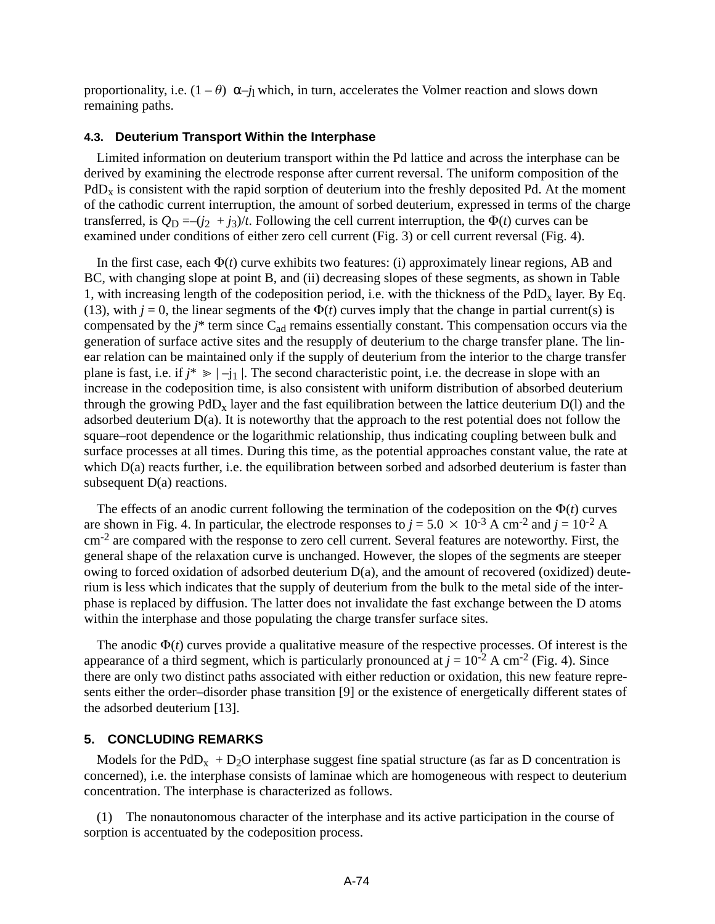proportionality, i.e.  $(1 - \theta) \alpha_{\textit{--}j}$  which, in turn, accelerates the Volmer reaction and slows down remaining paths.

## **4.3. Deuterium Transport Within the Interphase**

Limited information on deuterium transport within the Pd lattice and across the interphase can be derived by examining the electrode response after current reversal. The uniform composition of the  $PdD<sub>x</sub>$  is consistent with the rapid sorption of deuterium into the freshly deposited Pd. At the moment of the cathodic current interruption, the amount of sorbed deuterium, expressed in terms of the charge transferred, is  $Q_D = -(i_2 + i_3)/t$ . Following the cell current interruption, the  $\Phi(t)$  curves can be examined under conditions of either zero cell current (Fig. 3) or cell current reversal (Fig. 4).

In the first case, each  $\Phi(t)$  curve exhibits two features: (i) approximately linear regions, AB and BC, with changing slope at point B, and (ii) decreasing slopes of these segments, as shown in Table 1, with increasing length of the codeposition period, i.e. with the thickness of the  $PdD<sub>x</sub>$  layer. By Eq. (13), with  $j = 0$ , the linear segments of the  $\Phi(t)$  curves imply that the change in partial current(s) is compensated by the *j*<sup>\*</sup> term since C<sub>ad</sub> remains essentially constant. This compensation occurs via the generation of surface active sites and the resupply of deuterium to the charge transfer plane. The linear relation can be maintained only if the supply of deuterium from the interior to the charge transfer plane is fast, i.e. if  $j^* \geq -j_1$  |. The second characteristic point, i.e. the decrease in slope with an increase in the codeposition time, is also consistent with uniform distribution of absorbed deuterium through the growing  $PdD_x$  layer and the fast equilibration between the lattice deuterium  $D(1)$  and the adsorbed deuterium D(a). It is noteworthy that the approach to the rest potential does not follow the square–root dependence or the logarithmic relationship, thus indicating coupling between bulk and surface processes at all times. During this time, as the potential approaches constant value, the rate at which  $D(a)$  reacts further, i.e. the equilibration between sorbed and adsorbed deuterium is faster than subsequent  $D(a)$  reactions.

The effects of an anodic current following the termination of the codeposition on the  $\Phi(t)$  curves are shown in Fig. 4. In particular, the electrode responses to  $j = 5.0 \times 10^{-3}$  A cm<sup>-2</sup> and  $j = 10^{-2}$  A  $\text{cm}^{-2}$  are compared with the response to zero cell current. Several features are noteworthy. First, the general shape of the relaxation curve is unchanged. However, the slopes of the segments are steeper owing to forced oxidation of adsorbed deuterium  $D(a)$ , and the amount of recovered (oxidized) deuterium is less which indicates that the supply of deuterium from the bulk to the metal side of the interphase is replaced by diffusion. The latter does not invalidate the fast exchange between the D atoms within the interphase and those populating the charge transfer surface sites.

The anodic  $\Phi(t)$  curves provide a qualitative measure of the respective processes. Of interest is the appearance of a third segment, which is particularly pronounced at  $j = 10^{-2}$  A cm<sup>-2</sup> (Fig. 4). Since there are only two distinct paths associated with either reduction or oxidation, this new feature represents either the order–disorder phase transition [9] or the existence of energetically different states of the adsorbed deuterium [13].

#### **5. CONCLUDING REMARKS**

Models for the PdD<sub>x</sub> + D<sub>2</sub>O interphase suggest fine spatial structure (as far as D concentration is concerned), i.e. the interphase consists of laminae which are homogeneous with respect to deuterium concentration. The interphase is characterized as follows.

(1) The nonautonomous character of the interphase and its active participation in the course of sorption is accentuated by the codeposition process.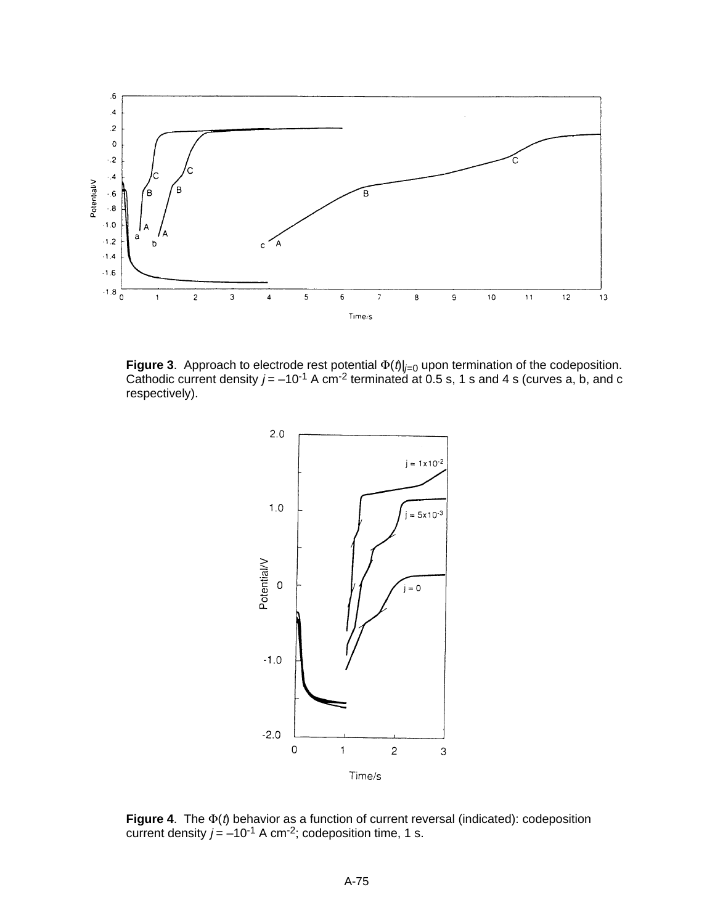

**Figure 3**. Approach to electrode rest potential  $\Phi(t)|_{i=0}$  upon termination of the codeposition. Cathodic current density  $j = -10^{-1}$  A cm<sup>-2</sup> terminated at 0.5 s, 1 s and 4 s (curves a, b, and c respectively).



**Figure 4**. The  $\Phi$ (t) behavior as a function of current reversal (indicated): codeposition current density  $j = -10^{-1}$  A cm<sup>-2</sup>; codeposition time, 1 s.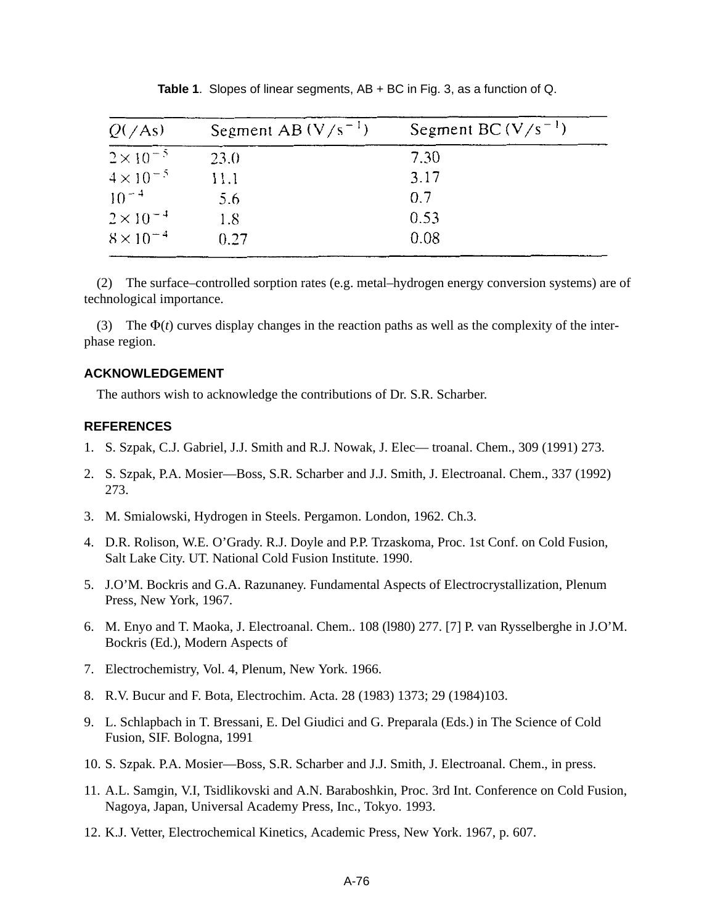| $Q(\angle As)$     | Segment AB $(V/s^{-1})$ | Segment BC $(V/s^{-1})$ |
|--------------------|-------------------------|-------------------------|
| $2 \times 10^{-5}$ | 23.0                    | 7.30                    |
| $4 \times 10^{-5}$ | 11.1                    | 3.17                    |
| $10^{-4}$          | 5.6                     | 0.7                     |
| $2 \times 10^{-4}$ | 1.8                     | 0.53                    |
| $8 \times 10^{-4}$ | 0.27                    | 0.08                    |

**Table 1**. Slopes of linear segments, AB + BC in Fig. 3, as a function of Q.

(2) The surface–controlled sorption rates (e.g. metal–hydrogen energy conversion systems) are of technological importance.

(3) The  $\Phi(t)$  curves display changes in the reaction paths as well as the complexity of the interphase region.

# **ACKNOWLEDGEMENT**

The authors wish to acknowledge the contributions of Dr. S.R. Scharber.

#### **REFERENCES**

- 1. S. Szpak, C.J. Gabriel, J.J. Smith and R.J. Nowak, J. Elec— troanal. Chem., 309 (1991) 273.
- 2. S. Szpak, P.A. Mosier—Boss, S.R. Scharber and J.J. Smith, J. Electroanal. Chem., 337 (1992) 273.
- 3. M. Smialowski, Hydrogen in Steels. Pergamon. London, 1962. Ch.3.
- 4. D.R. Rolison, W.E. O'Grady. R.J. Doyle and P.P. Trzaskoma, Proc. 1st Conf. on Cold Fusion, Salt Lake City. UT. National Cold Fusion Institute. 1990.
- 5. J.O'M. Bockris and G.A. Razunaney. Fundamental Aspects of Electrocrystallization, Plenum Press, New York, 1967.
- 6. M. Enyo and T. Maoka, J. Electroanal. Chem.. 108 (l980) 277. [7] P. van Rysselberghe in J.O'M. Bockris (Ed.), Modern Aspects of
- 7. Electrochemistry, Vol. 4, Plenum, New York. 1966.
- 8. R.V. Bucur and F. Bota, Electrochim. Acta. 28 (1983) 1373; 29 (1984)103.
- 9. L. Schlapbach in T. Bressani, E. Del Giudici and G. Preparala (Eds.) in The Science of Cold Fusion, SIF. Bologna, 1991
- 10. S. Szpak. P.A. Mosier—Boss, S.R. Scharber and J.J. Smith, J. Electroanal. Chem., in press.
- 11. A.L. Samgin, V.I, Tsidlikovski and A.N. Baraboshkin, Proc. 3rd Int. Conference on Cold Fusion, Nagoya, Japan, Universal Academy Press, Inc., Tokyo. 1993.
- 12. K.J. Vetter, Electrochemical Kinetics, Academic Press, New York. 1967, p. 607.